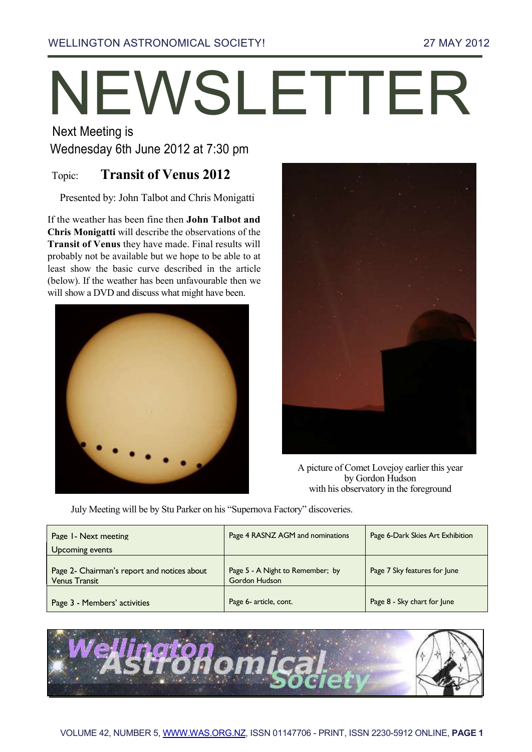# NEWSLETTER

Next Meeting is

Wednesday 6th June 2012 at 7:30 pm

# Topic: **Transit of Venus 2012**

Presented by: John Talbot and Chris Monigatti

If the weather has been fine then **John Talbot and Chris Monigatti** will describe the observations of the **Transit of Venus** they have made. Final results will probably not be available but we hope to be able to at least show the basic curve described in the article (below). If the weather has been unfavourable then we will show a DVD and discuss what might have been.





A picture of Comet Lovejoy earlier this year by Gordon Hudson with his observatory in the foreground

July Meeting will be by Stu Parker on his "Supernova Factory" discoveries.

| Page 1 - Next meeting<br>Upcoming events                            | Page 4 RASNZ AGM and nominations                  | Page 6-Dark Skies Art Exhibition |
|---------------------------------------------------------------------|---------------------------------------------------|----------------------------------|
| Page 2- Chairman's report and notices about<br><b>Venus Transit</b> | Page 5 - A Night to Remember; by<br>Gordon Hudson | Page 7 Sky features for June     |
| Page 3 - Members' activities                                        | Page 6- article, cont.                            | Page 8 - Sky chart for June      |

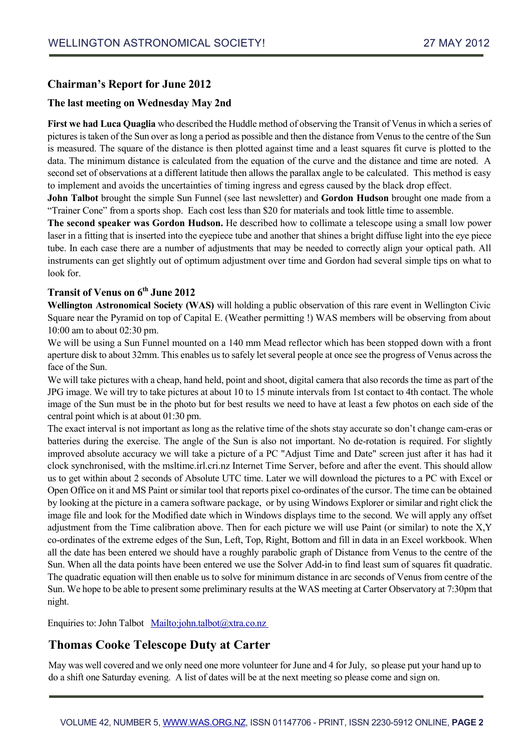### **Chairman's Report for June 2012**

### **The last meeting on Wednesday May 2nd**

**First we had Luca Quaglia** who described the Huddle method of observing the Transit of Venus in which a series of pictures is taken of the Sun over as long a period as possible and then the distance from Venus to the centre of the Sun is measured. The square of the distance is then plotted against time and a least squares fit curve is plotted to the data. The minimum distance is calculated from the equation of the curve and the distance and time are noted. A second set of observations at a different latitude then allows the parallax angle to be calculated. This method is easy to implement and avoids the uncertainties of timing ingress and egress caused by the black drop effect.

**John Talbot** brought the simple Sun Funnel (see last newsletter) and **Gordon Hudson** brought one made from a "Trainer Cone" from a sports shop. Each cost less than \$20 for materials and took little time to assemble.

**The second speaker was Gordon Hudson.** He described how to collimate a telescope using a small low power laser in a fitting that is inserted into the eyepiece tube and another that shines a bright diffuse light into the eye piece tube. In each case there are a number of adjustments that may be needed to correctly align your optical path. All instruments can get slightly out of optimum adjustment over time and Gordon had several simple tips on what to look for.

### **Transit of Venus on 6th June 2012**

**Wellington Astronomical Society (WAS)** will holding a public observation of this rare event in Wellington Civic Square near the Pyramid on top of Capital E. (Weather permitting !) WAS members will be observing from about 10:00 am to about 02:30 pm.

We will be using a Sun Funnel mounted on a 140 mm Mead reflector which has been stopped down with a front aperture disk to about 32mm. This enables us to safely let several people at once see the progress of Venus across the face of the Sun.

We will take pictures with a cheap, hand held, point and shoot, digital camera that also records the time as part of the JPG image. We will try to take pictures at about 10 to 15 minute intervals from 1st contact to 4th contact. The whole image of the Sun must be in the photo but for best results we need to have at least a few photos on each side of the central point which is at about 01:30 pm.

The exact interval is not important as long as the relative time of the shots stay accurate so don't change cam-eras or batteries during the exercise. The angle of the Sun is also not important. No de-rotation is required. For slightly improved absolute accuracy we will take a picture of a PC "Adjust Time and Date" screen just after it has had it clock synchronised, with the msltime.irl.cri.nz Internet Time Server, before and after the event. This should allow us to get within about 2 seconds of Absolute UTC time. Later we will download the pictures to a PC with Excel or Open Office on it and MS Paint or similar tool that reports pixel co-ordinates of the cursor. The time can be obtained by looking at the picture in a camera software package, or by using Windows Explorer or similar and right click the image file and look for the Modified date which in Windows displays time to the second. We will apply any offset adjustment from the Time calibration above. Then for each picture we will use Paint (or similar) to note the X,Y co-ordinates of the extreme edges of the Sun, Left, Top, Right, Bottom and fill in data in an Excel workbook. When all the date has been entered we should have a roughly parabolic graph of Distance from Venus to the centre of the Sun. When all the data points have been entered we use the Solver Add-in to find least sum of squares fit quadratic. The quadratic equation will then enable us to solve for minimum distance in arc seconds of Venus from centre of the Sun. We hope to be able to present some preliminary results at the WAS meeting at Carter Observatory at 7:30pm that night.

Enquiries to: John Talbot Mailto:john.talbot@xtra.co.nz

## **Thomas Cooke Telescope Duty at Carter**

May was well covered and we only need one more volunteer for June and 4 for July, so please put your hand up to do a shift one Saturday evening. A list of dates will be at the next meeting so please come and sign on.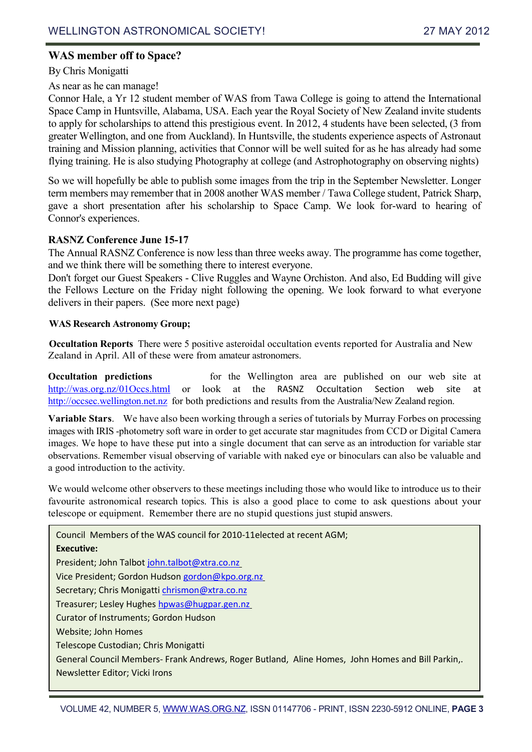### **WAS member off to Space?**

### By Chris Monigatti

### As near as he can manage!

Connor Hale, a Yr 12 student member of WAS from Tawa College is going to attend the International Space Camp in Huntsville, Alabama, USA. Each year the Royal Society of New Zealand invite students to apply for scholarships to attend this prestigious event. In 2012, 4 students have been selected, (3 from greater Wellington, and one from Auckland). In Huntsville, the students experience aspects of Astronaut training and Mission planning, activities that Connor will be well suited for as he has already had some flying training. He is also studying Photography at college (and Astrophotography on observing nights)

So we will hopefully be able to publish some images from the trip in the September Newsletter. Longer term members may remember that in 2008 another WAS member / Tawa College student, Patrick Sharp, gave a short presentation after his scholarship to Space Camp. We look for-ward to hearing of Connor's experiences.

### **RASNZ Conference June 15-17**

The Annual RASNZ Conference is now less than three weeks away. The programme has come together, and we think there will be something there to interest everyone.

Don't forget our Guest Speakers - Clive Ruggles and Wayne Orchiston. And also, Ed Budding will give the Fellows Lecture on the Friday night following the opening. We look forward to what everyone delivers in their papers. (See more next page)

### **WAS Research Astronomy Group;**

**Occultation Reports** There were 5 positive asteroidal occultation events reported for Australia and New Zealand in April. All of these were from amateur astronomers.

**Occultation predictions for the Wellington area are published on our web site at** [http://was.org.nz/01Occs.html](http://was.org.nz/01occs.html) or look at the RASNZ Occultation Section web site at [http://occsec.wellington.net.nz](http://occsec.wellington.net.nz/) for both predictions and results from the Australia/New Zealand region.

**Variable Stars**. We have also been working through a series of tutorials by Murray Forbes on processing images with IRIS -photometry soft ware in order to get accurate star magnitudes from CCD or Digital Camera images. We hope to have these put into a single document that can serve as an introduction for variable star observations. Remember visual observing of variable with naked eye or binoculars can also be valuable and a good introduction to the activity.

We would welcome other observers to these meetings including those who would like to introduce us to their favourite astronomical research topics. This is also a good place to come to ask questions about your telescope or equipment. Remember there are no stupid questions just stupid answers.

Council Members of the WAS council for 2010-11elected at recent AGM; **Executive:** President; John Talbot [john.talbot@xtra.co.nz](mailto:john.talbot@xtra.co.nz) Vice President; Gordon Hudson [gordon@kpo.org.nz](mailto:gordon@kpo.org.nz) Secretary; Chris Monigatt[i chrismon@xtra.co.nz](mailto:chrismon@xtra.co.nz) Treasurer; Lesley Hughes [hpwas@hugpar.gen.nz](mailto:hpwas@hugpar.gen.nz) Curator of Instruments; Gordon Hudson Website; John Homes Telescope Custodian; Chris Monigatti General Council Members- Frank Andrews, Roger Butland, Aline Homes, John Homes and Bill Parkin,. Newsletter Editor; Vicki Irons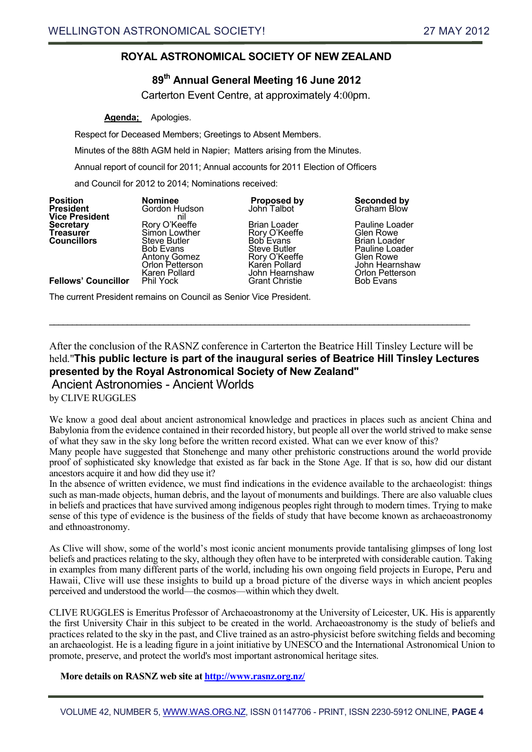### **ROYAL ASTRONOMICAL SOCIETY OF NEW ZEALAND**

### **89th Annual General Meeting 16 June 2012**

Carterton Event Centre, at approximately 4:00pm.

### **Agenda;** Apologies.

Respect for Deceased Members; Greetings to Absent Members.

Minutes of the 88th AGM held in Napier; Matters arising from the Minutes.

Annual report of council for 2011; Annual accounts for 2011 Election of Officers

and Council for 2012 to 2014; Nominations received:

**Vice President**<br> **Secretary CONFIDE ROLY O'Keeffe** 

**Predict Gordon Hudson**<br> **Primid Council Steve Butler Steve Butler**<br> **Council Bob Evans** Brian Loader Steve Butler Karen Pollard John Hearnshaw Orlon Petterson

**Secretary** Rory O'Keeffe Brian Loader Pauline Loader **Treasurer** Simon Lowther Rory O'Keeffe Glen Rowe Steve Butler Fauline Loader<br>
Rory O'Keeffe Fallen Rowe<br>
Karen Pollard Fannsha Antony Gomez **Rory O'Keeffe** Glen Rowe Orlon Petterson Karén Pollard Musikal Dohn Hearnshaw

**Position Nominee Proposed by Seconded by**

**Fellows' Councillor** 

The current President remains on Council as Senior Vice President.

After the conclusion of the RASNZ conference in Carterton the Beatrice Hill Tinsley Lecture will be held."**This public lecture is part of the inaugural series of Beatrice Hill Tinsley Lectures presented by the Royal Astronomical Society of New Zealand"**  Ancient Astronomies - Ancient Worlds

 $\_$  , and the set of the set of the set of the set of the set of the set of the set of the set of the set of the set of the set of the set of the set of the set of the set of the set of the set of the set of the set of th

by CLIVE RUGGLES

We know a good deal about ancient astronomical knowledge and practices in places such as ancient China and Babylonia from the evidence contained in their recorded history, but people all over the world strived to make sense of what they saw in the sky long before the written record existed. What can we ever know of this?

Many people have suggested that Stonehenge and many other prehistoric constructions around the world provide proof of sophisticated sky knowledge that existed as far back in the Stone Age. If that is so, how did our distant ancestors acquire it and how did they use it?

In the absence of written evidence, we must find indications in the evidence available to the archaeologist: things such as man-made objects, human debris, and the layout of monuments and buildings. There are also valuable clues in beliefs and practices that have survived among indigenous peoples right through to modern times. Trying to make sense of this type of evidence is the business of the fields of study that have become known as archaeoastronomy and ethnoastronomy.

As Clive will show, some of the world's most iconic ancient monuments provide tantalising glimpses of long lost beliefs and practices relating to the sky, although they often have to be interpreted with considerable caution. Taking in examples from many different parts of the world, including his own ongoing field projects in Europe, Peru and Hawaii, Clive will use these insights to build up a broad picture of the diverse ways in which ancient peoples perceived and understood the world—the cosmos—within which they dwelt.

CLIVE RUGGLES is Emeritus Professor of Archaeoastronomy at the University of Leicester, UK. His is apparently the first University Chair in this subject to be created in the world. Archaeoastronomy is the study of beliefs and practices related to the sky in the past, and Clive trained as an astro-physicist before switching fields and becoming an archaeologist. He is a leading figure in a joint initiative by UNESCO and the International Astronomical Union to promote, preserve, and protect the world's most important astronomical heritage sites.

**More details on RASNZ web site at<http://www.rasnz.org.nz/>**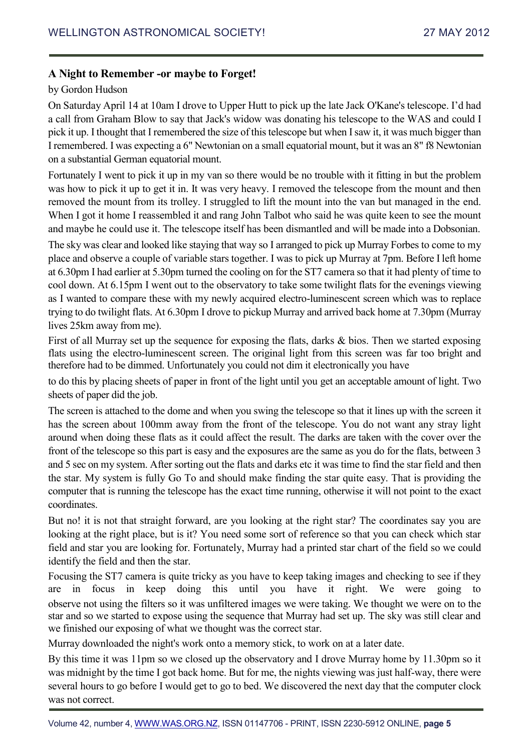### **A Night to Remember -or maybe to Forget!**

### by Gordon Hudson

On Saturday April 14 at 10am I drove to Upper Hutt to pick up the late Jack O'Kane's telescope. I'd had a call from Graham Blow to say that Jack's widow was donating his telescope to the WAS and could I pick it up. I thought that I remembered the size of this telescope but when I saw it, it was much bigger than I remembered. I was expecting a 6" Newtonian on a small equatorial mount, but it was an 8" f8 Newtonian on a substantial German equatorial mount.

Fortunately I went to pick it up in my van so there would be no trouble with it fitting in but the problem was how to pick it up to get it in. It was very heavy. I removed the telescope from the mount and then removed the mount from its trolley. I struggled to lift the mount into the van but managed in the end. When I got it home I reassembled it and rang John Talbot who said he was quite keen to see the mount and maybe he could use it. The telescope itself has been dismantled and will be made into a Dobsonian.

The sky was clear and looked like staying that way so I arranged to pick up Murray Forbes to come to my place and observe a couple of variable stars together. I was to pick up Murray at 7pm. Before I left home at 6.30pm I had earlier at 5.30pm turned the cooling on for the ST7 camera so that it had plenty of time to cool down. At 6.15pm I went out to the observatory to take some twilight flats for the evenings viewing as I wanted to compare these with my newly acquired electro-luminescent screen which was to replace trying to do twilight flats. At 6.30pm I drove to pickup Murray and arrived back home at 7.30pm (Murray lives 25km away from me).

First of all Murray set up the sequence for exposing the flats, darks & bios. Then we started exposing flats using the electro-luminescent screen. The original light from this screen was far too bright and therefore had to be dimmed. Unfortunately you could not dim it electronically you have

to do this by placing sheets of paper in front of the light until you get an acceptable amount of light. Two sheets of paper did the job.

The screen is attached to the dome and when you swing the telescope so that it lines up with the screen it has the screen about 100mm away from the front of the telescope. You do not want any stray light around when doing these flats as it could affect the result. The darks are taken with the cover over the front of the telescope so this part is easy and the exposures are the same as you do for the flats, between 3 and 5 sec on my system. After sorting out the flats and darks etc it was time to find the star field and then the star. My system is fully Go To and should make finding the star quite easy. That is providing the computer that is running the telescope has the exact time running, otherwise it will not point to the exact coordinates.

But no! it is not that straight forward, are you looking at the right star? The coordinates say you are looking at the right place, but is it? You need some sort of reference so that you can check which star field and star you are looking for. Fortunately, Murray had a printed star chart of the field so we could identify the field and then the star.

Focusing the ST7 camera is quite tricky as you have to keep taking images and checking to see if they are in focus in keep doing this until you have it right. We were going to observe not using the filters so it was unfiltered images we were taking. We thought we were on to the star and so we started to expose using the sequence that Murray had set up. The sky was still clear and we finished our exposing of what we thought was the correct star.

Murray downloaded the night's work onto a memory stick, to work on at a later date.

By this time it was 11pm so we closed up the observatory and I drove Murray home by 11.30pm so it was midnight by the time I got back home. But for me, the nights viewing was just half-way, there were several hours to go before I would get to go to bed. We discovered the next day that the computer clock was not correct.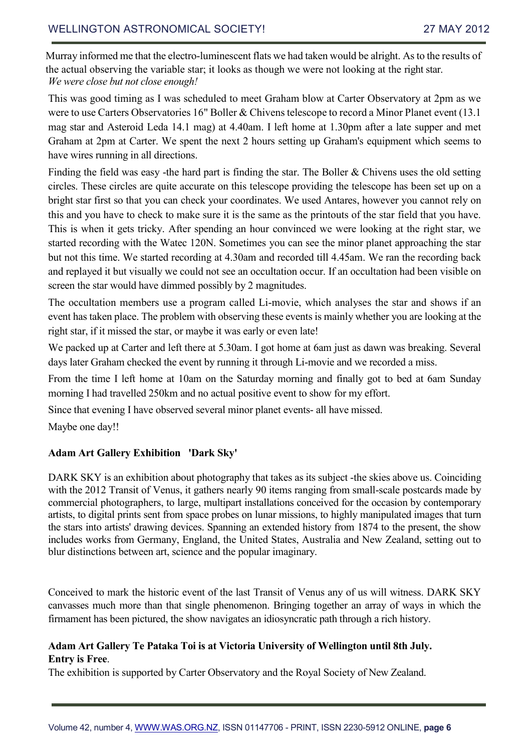Murray informed me that the electro-luminescent flats we had taken would be alright. As to the results of the actual observing the variable star; it looks as though we were not looking at the right star. *We were close but not close enough!* 

This was good timing as I was scheduled to meet Graham blow at Carter Observatory at 2pm as we were to use Carters Observatories 16" Boller & Chivens telescope to record a Minor Planet event (13.1 mag star and Asteroid Leda 14.1 mag) at 4.40am. I left home at 1.30pm after a late supper and met Graham at 2pm at Carter. We spent the next 2 hours setting up Graham's equipment which seems to have wires running in all directions.

Finding the field was easy -the hard part is finding the star. The Boller & Chivens uses the old setting circles. These circles are quite accurate on this telescope providing the telescope has been set up on a bright star first so that you can check your coordinates. We used Antares, however you cannot rely on this and you have to check to make sure it is the same as the printouts of the star field that you have. This is when it gets tricky. After spending an hour convinced we were looking at the right star, we started recording with the Watec 120N. Sometimes you can see the minor planet approaching the star but not this time. We started recording at 4.30am and recorded till 4.45am. We ran the recording back and replayed it but visually we could not see an occultation occur. If an occultation had been visible on screen the star would have dimmed possibly by 2 magnitudes.

The occultation members use a program called Li-movie, which analyses the star and shows if an event has taken place. The problem with observing these events is mainly whether you are looking at the right star, if it missed the star, or maybe it was early or even late!

We packed up at Carter and left there at 5.30am. I got home at 6am just as dawn was breaking. Several days later Graham checked the event by running it through Li-movie and we recorded a miss.

From the time I left home at 10am on the Saturday morning and finally got to bed at 6am Sunday morning I had travelled 250km and no actual positive event to show for my effort.

Since that evening I have observed several minor planet events- all have missed.

Maybe one day!!

### **Adam Art Gallery Exhibition 'Dark Sky'**

DARK SKY is an exhibition about photography that takes as its subject -the skies above us. Coinciding with the 2012 Transit of Venus, it gathers nearly 90 items ranging from small-scale postcards made by commercial photographers, to large, multipart installations conceived for the occasion by contemporary artists, to digital prints sent from space probes on lunar missions, to highly manipulated images that turn the stars into artists' drawing devices. Spanning an extended history from 1874 to the present, the show includes works from Germany, England, the United States, Australia and New Zealand, setting out to blur distinctions between art, science and the popular imaginary.

Conceived to mark the historic event of the last Transit of Venus any of us will witness. DARK SKY canvasses much more than that single phenomenon. Bringing together an array of ways in which the firmament has been pictured, the show navigates an idiosyncratic path through a rich history.

### **Adam Art Gallery Te Pataka Toi is at Victoria University of Wellington until 8th July. Entry is Free**.

The exhibition is supported by Carter Observatory and the Royal Society of New Zealand.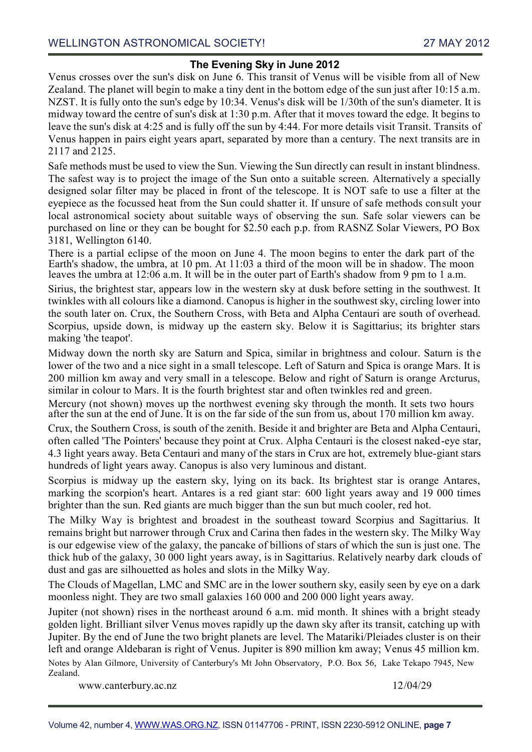### **The Evening Sky in June 2012**

Venus crosses over the sun's disk on June 6. This transit of Venus will be visible from all of New Zealand. The planet will begin to make a tiny dent in the bottom edge of the sun just after 10:15 a.m. NZST. It is fully onto the sun's edge by 10:34. Venus's disk will be 1/30th of the sun's diameter. It is midway toward the centre of sun's disk at 1:30 p.m. After that it moves toward the edge. It begins to leave the sun's disk at 4:25 and is fully off the sun by 4:44. For more details visit Transit. Transits of Venus happen in pairs eight years apart, separated by more than a century. The next transits are in 2117 and 2125.

Safe methods must be used to view the Sun. Viewing the Sun directly can result in instant blindness. The safest way is to project the image of the Sun onto a suitable screen. Alternatively a specially designed solar filter may be placed in front of the telescope. It is NOT safe to use a filter at the eyepiece as the focussed heat from the Sun could shatter it. If unsure of safe methods consult your local astronomical society about suitable ways of observing the sun. Safe solar viewers can be purchased on line or they can be bought for \$2.50 each p.p. from RASNZ Solar Viewers, PO Box 3181, Wellington 6140.

There is a partial eclipse of the moon on June 4. The moon begins to enter the dark part of the Earth's shadow, the umbra, at 10 pm. At 11:03 a third of the moon will be in shadow. The moon leaves the umbra at 12:06 a.m. It will be in the outer part of Earth's shadow from 9 pm to 1 a.m.

Sirius, the brightest star, appears low in the western sky at dusk before setting in the southwest. It twinkles with all colours like a diamond. Canopus is higher in the southwest sky, circling lower into the south later on. Crux, the Southern Cross, with Beta and Alpha Centauri are south of overhead. Scorpius, upside down, is midway up the eastern sky. Below it is Sagittarius; its brighter stars making 'the teapot'.

Midway down the north sky are Saturn and Spica, similar in brightness and colour. Saturn is the lower of the two and a nice sight in a small telescope. Left of Saturn and Spica is orange Mars. It is 200 million km away and very small in a telescope. Below and right of Saturn is orange Arcturus, similar in colour to Mars. It is the fourth brightest star and often twinkles red and green.

Mercury (not shown) moves up the northwest evening sky through the month. It sets two hours after the sun at the end of June. It is on the far side of the sun from us, about 170 million km away.

Crux, the Southern Cross, is south of the zenith. Beside it and brighter are Beta and Alpha Centauri, often called 'The Pointers' because they point at Crux. Alpha Centauri is the closest naked-eye star, 4.3 light years away. Beta Centauri and many of the stars in Crux are hot, extremely blue-giant stars hundreds of light years away. Canopus is also very luminous and distant.

Scorpius is midway up the eastern sky, lying on its back. Its brightest star is orange Antares, marking the scorpion's heart. Antares is a red giant star: 600 light years away and 19 000 times brighter than the sun. Red giants are much bigger than the sun but much cooler, red hot.

The Milky Way is brightest and broadest in the southeast toward Scorpius and Sagittarius. It remains bright but narrower through Crux and Carina then fades in the western sky. The Milky Way is our edgewise view of the galaxy, the pancake of billions of stars of which the sun is just one. The thick hub of the galaxy, 30 000 light years away, is in Sagittarius. Relatively nearby dark clouds of dust and gas are silhouetted as holes and slots in the Milky Way.

The Clouds of Magellan, LMC and SMC are in the lower southern sky, easily seen by eye on a dark moonless night. They are two small galaxies 160 000 and 200 000 light years away.

Jupiter (not shown) rises in the northeast around 6 a.m. mid month. It shines with a bright steady golden light. Brilliant silver Venus moves rapidly up the dawn sky after its transit, catching up with Jupiter. By the end of June the two bright planets are level. The Matariki/Pleiades cluster is on their left and orange Aldebaran is right of Venus. Jupiter is 890 million km away; Venus 45 million km. Notes by Alan Gilmore, University of Canterbury's Mt John Observatory, P.O. Box 56, Lake Tekapo 7945, New Zealand.

www.canterbury.ac.nz 12/04/29